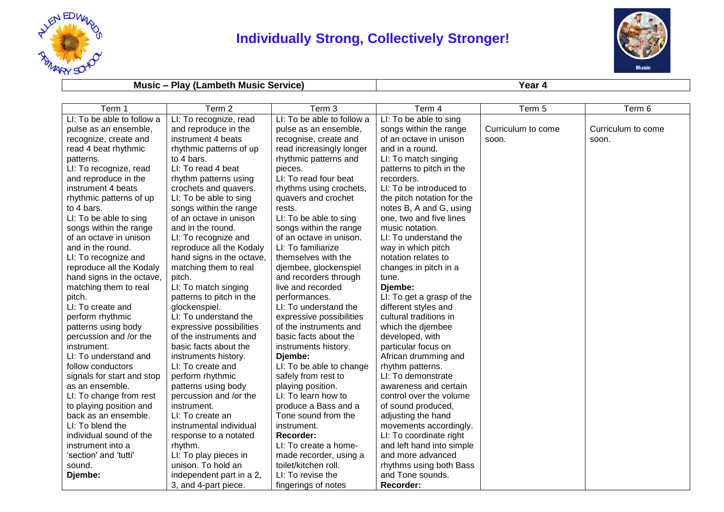

## **Individually Strong, Collectively Stronger!**



## **Music – Play (Lambeth Music Service) Year 4**

| Term 1                     | Term 2                    | Term 3                     | Term 4                     | Term 5             | Term 6             |
|----------------------------|---------------------------|----------------------------|----------------------------|--------------------|--------------------|
| LI: To be able to follow a | LI: To recognize, read    | LI: To be able to follow a | LI: To be able to sing     |                    |                    |
| pulse as an ensemble,      | and reproduce in the      | pulse as an ensemble,      | songs within the range     | Curriculum to come | Curriculum to come |
| recognize, create and      | instrument 4 beats        | recognise, create and      | of an octave in unison     | soon.              | soon.              |
| read 4 beat rhythmic       | rhythmic patterns of up   | read increasingly longer   | and in a round.            |                    |                    |
| patterns.                  | to 4 bars.                | rhythmic patterns and      | LI: To match singing       |                    |                    |
| LI: To recognize, read     | LI: To read 4 beat        | pieces.                    | patterns to pitch in the   |                    |                    |
| and reproduce in the       | rhythm patterns using     | LI: To read four beat      | recorders.                 |                    |                    |
| instrument 4 beats         | crochets and quavers.     | rhythms using crochets,    | LI: To be introduced to    |                    |                    |
| rhythmic patterns of up    | LI: To be able to sing    | quavers and crochet        | the pitch notation for the |                    |                    |
| to 4 bars.                 | songs within the range    | rests.                     | notes B, A and G, using    |                    |                    |
| LI: To be able to sing     | of an octave in unison    | LI: To be able to sing     | one, two and five lines    |                    |                    |
| songs within the range     | and in the round.         | songs within the range     | music notation.            |                    |                    |
| of an octave in unison     | LI: To recognize and      | of an octave in unison.    | LI: To understand the      |                    |                    |
| and in the round.          | reproduce all the Kodaly  | LI: To familiarize         | way in which pitch         |                    |                    |
| LI: To recognize and       | hand signs in the octave, | themselves with the        | notation relates to        |                    |                    |
| reproduce all the Kodaly   | matching them to real     | djembee, glockenspiel      | changes in pitch in a      |                    |                    |
| hand signs in the octave,  | pitch.                    | and recorders through      | tune.                      |                    |                    |
| matching them to real      | LI: To match singing      | live and recorded          | Djembe:                    |                    |                    |
| pitch.                     | patterns to pitch in the  | performances.              | LI: To get a grasp of the  |                    |                    |
| LI: To create and          | glockenspiel.             | LI: To understand the      | different styles and       |                    |                    |
| perform rhythmic           | LI: To understand the     | expressive possibilities   | cultural traditions in     |                    |                    |
| patterns using body        | expressive possibilities  | of the instruments and     | which the djembee          |                    |                    |
| percussion and /or the     | of the instruments and    | basic facts about the      | developed, with            |                    |                    |
| instrument.                | basic facts about the     | instruments history.       | particular focus on        |                    |                    |
| LI: To understand and      | instruments history.      | Djembe:                    | African drumming and       |                    |                    |
| follow conductors          | LI: To create and         | LI: To be able to change   | rhythm patterns.           |                    |                    |
| signals for start and stop | perform rhythmic          | safely from rest to        | LI: To demonstrate         |                    |                    |
| as an ensemble.            | patterns using body       | playing position.          | awareness and certain      |                    |                    |
| LI: To change from rest    | percussion and /or the    | LI: To learn how to        | control over the volume    |                    |                    |
| to playing position and    | instrument.               | produce a Bass and a       | of sound produced,         |                    |                    |
| back as an ensemble.       | LI: To create an          | Tone sound from the        | adjusting the hand         |                    |                    |
| LI: To blend the           | instrumental individual   | instrument.                | movements accordingly.     |                    |                    |
| individual sound of the    | response to a notated     | Recorder:                  | LI: To coordinate right    |                    |                    |
| instrument into a          | rhythm.                   | LI: To create a home-      | and left hand into simple  |                    |                    |
| 'section' and 'tutti'      | LI: To play pieces in     | made recorder, using a     | and more advanced          |                    |                    |
| sound.                     | unison. To hold an        | toilet/kitchen roll.       | rhythms using both Bass    |                    |                    |
| Djembe:                    | independent part in a 2,  | LI: To revise the          | and Tone sounds.           |                    |                    |
|                            | 3, and 4-part piece.      | fingerings of notes        | Recorder:                  |                    |                    |